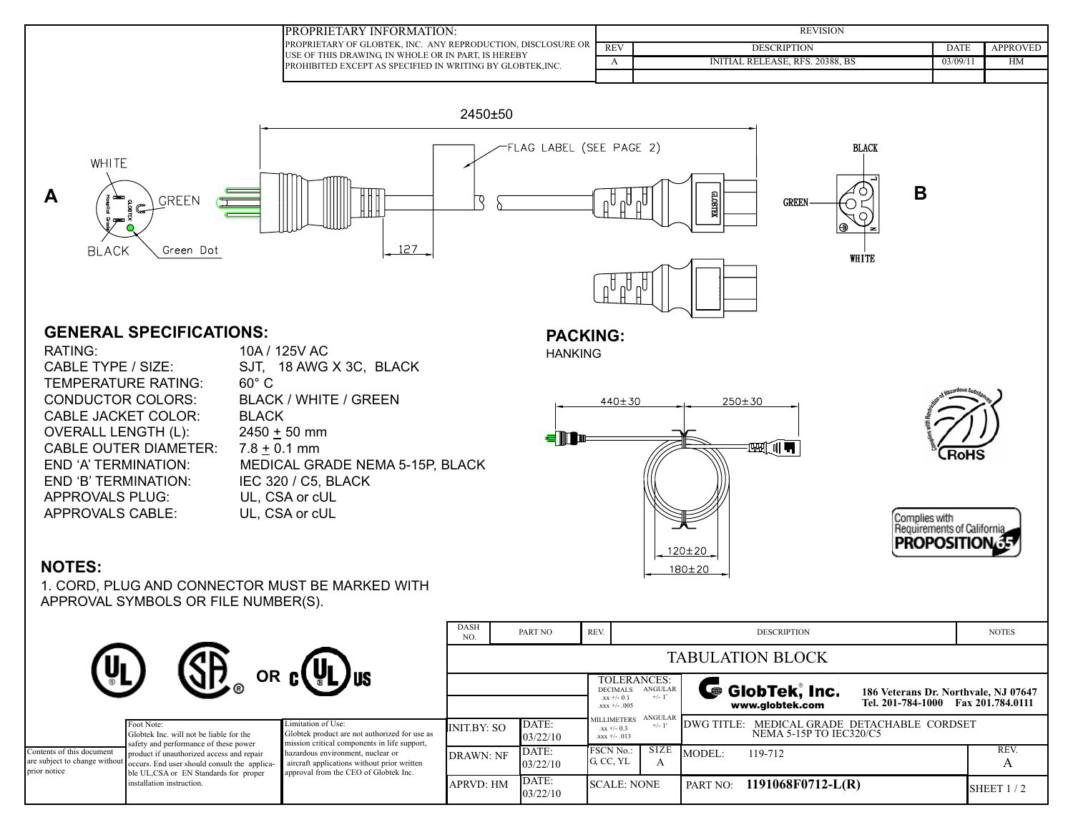| PROPRIETARY INFORMATION:                                                                                                                                                                   |            | <b>REVISION</b>                        |         |          |  |  |  |
|--------------------------------------------------------------------------------------------------------------------------------------------------------------------------------------------|------------|----------------------------------------|---------|----------|--|--|--|
| <b>IPROPRIETARY OF GLOBTEK, INC. ANY REPRODUCTION, DISCLOSURE OR</b><br>IUSE OF THIS DRAWING. IN WHOLE OR IN PART. IS HEREBY<br>PROHIBITED EXCEPT AS SPECIFIED IN WRITING BY GLOBTEK, INC. | <b>REV</b> | <b>DESCRIPTION</b>                     | date    | APPROVED |  |  |  |
|                                                                                                                                                                                            |            | <b>INITIAL RELEASE, RFS. 20388, BS</b> | 03/09/1 | HM       |  |  |  |
|                                                                                                                                                                                            |            |                                        |         |          |  |  |  |



#### **GENERAL SPECIFICATIONS:**

TEMPERATURE RATING: 60° C CONDUCTOR COLORS: BLACK / WHITE / GREEN CABLE JACKET COLOR: BLACK OVERALL LENGTH (L): 2450 + 50 mm CABLE OUTER DIAMETER: 7.8 + 0.1 mm END 'B' TERMINATION: IEC 320 / C5, BLACK APPROVALS PLUG: UL, CSA or cUL APPROVALS CABLE: UL, CSA or cUL

RATING: 10A / 125V AC CABLE TYPE / SIZE: SJT, 18 AWG X 3C, BLACK END 'A' TERMINATION: MEDICAL GRADE NEMA 5-15P, BLACK

# **PACKING:**

HANKING



Complies with<br>Requirements of Californi **PROPOSITION** 

# **NOTES:**

1. CORD, PLUG AND CONNECTOR MUST BE MARKED WITH APPROVAL SYMBOLS OR FILE NUMBER(S).

|                                           |                                                                                                                                                                                                                                                                                                 |                                                                                                                                                                                                                                                  | <b>DASH</b><br>NO.      | PART NO           | REV.                                       |                                                                           |                                                                                                                | <b>DESCRIPTION</b>                                                        | <b>NOTES</b> |
|-------------------------------------------|-------------------------------------------------------------------------------------------------------------------------------------------------------------------------------------------------------------------------------------------------------------------------------------------------|--------------------------------------------------------------------------------------------------------------------------------------------------------------------------------------------------------------------------------------------------|-------------------------|-------------------|--------------------------------------------|---------------------------------------------------------------------------|----------------------------------------------------------------------------------------------------------------|---------------------------------------------------------------------------|--------------|
|                                           |                                                                                                                                                                                                                                                                                                 |                                                                                                                                                                                                                                                  | <b>TABULATION BLOCK</b> |                   |                                            |                                                                           |                                                                                                                |                                                                           |              |
| <u>y</u><br>OR C(VL)US                    |                                                                                                                                                                                                                                                                                                 |                                                                                                                                                                                                                                                  |                         |                   | DECIMALS<br>$xx + -0.1$<br>$.xxx +/- .005$ | TOLERANCES:<br>ANGULAR<br>$+/- 1$ <sup>*</sup>                            | GlobTek, Inc.<br>186 Veterans Dr. Northvale, NJ 07647<br>Tel. 201-784-1000 Fax 201.784.0111<br>www.globtek.com |                                                                           |              |
|                                           | Foot Note:<br>Globtek Inc. will not be liable for the<br>safety and performance of these power<br>product if unauthorized access and repair<br>are subject to change without occurs. End user should consult the applica-<br>ble UL,CSA or EN Standards for proper<br>installation instruction. | Limitation of Use:<br>Globtek product are not authorized for use as<br>mission critical components in life support,<br>hazardous environment, nuclear or<br>aircraft applications without prior written<br>approval from the CEO of Globtek Inc. | INIT.BY: SO             | DATE:<br>03/22/10 |                                            | ANGULAR<br><b>MILLIMETERS</b><br>$+/-1$<br>$xx + -0.3$<br>$.xxx +/- .013$ |                                                                                                                | MEDICAL GRADE DETACHABLE CORDSET<br>DWG TITLE:<br>NEMA 5-15P TO IEC320/C5 |              |
| Contents of this document<br>prior notice |                                                                                                                                                                                                                                                                                                 |                                                                                                                                                                                                                                                  | <b>DRAWN: NF</b>        | DATE:<br>03/22/10 | FSCN No.:<br>G, CC, YL                     |                                                                           | SIZE<br>A                                                                                                      | MODEL:<br>119-712                                                         | REV.         |
|                                           |                                                                                                                                                                                                                                                                                                 |                                                                                                                                                                                                                                                  | <b>APRVD: HM</b>        | DATE:<br>03/22/10 |                                            | <b>SCALE: NONE</b>                                                        |                                                                                                                | 1191068F0712-L(R)<br>PART NO:                                             | SHEET $1/2$  |